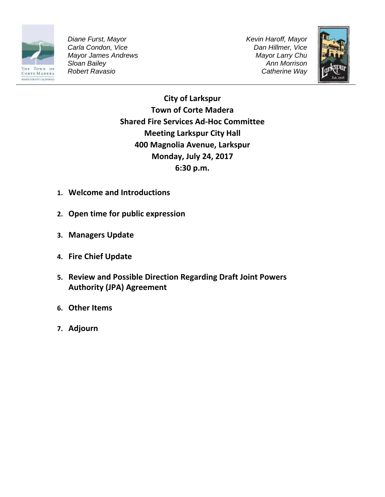

*Diane Furst, Mayor Carla Condon, Vice Mayor James Andrews Sloan Bailey Robert Ravasio*

*Kevin Haroff, Mayor Dan Hillmer, Vice Mayor Larry Chu Ann Morrison Catherine Way*



**City of Larkspur Town of Corte Madera Shared Fire Services Ad-Hoc Committee Meeting Larkspur City Hall 400 Magnolia Avenue, Larkspur Monday, July 24, 2017 6:30 p.m.**

- **1. Welcome and Introductions**
- **2. Open time for public expression**
- **3. Managers Update**
- **4. Fire Chief Update**
- **5. Review and Possible Direction Regarding Draft Joint Powers Authority (JPA) Agreement**
- **6. Other Items**
- **7. Adjourn**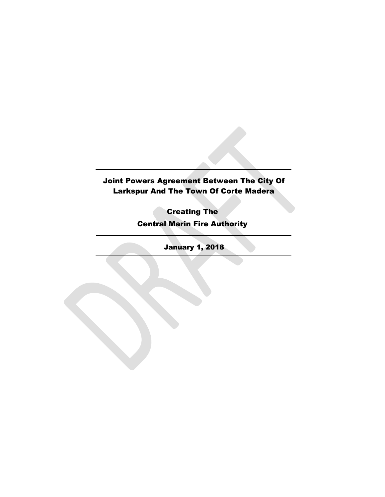# Joint Powers Agreement Between The City Of Larkspur And The Town Of Corte Madera

Creating The Central Marin Fire Authority

January 1, 2018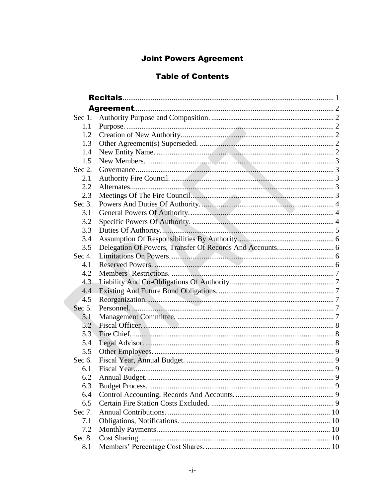# **Joint Powers Agreement**

# **Table of Contents**

| Sec $1$ . |  |
|-----------|--|
| 1.1       |  |
| 1.2       |  |
| 1.3       |  |
| 1.4       |  |
| 1.5       |  |
| Sec $2$ . |  |
| 2.1       |  |
| 2.2       |  |
| 2.3       |  |
| Sec $3$ . |  |
| 3.1       |  |
| 3.2       |  |
| 3.3       |  |
| 3.4       |  |
| 3.5       |  |
| Sec $4$ . |  |
| 4.1       |  |
| 4.2       |  |
| 4.3       |  |
| 4.4       |  |
| 4.5       |  |
| Sec $5$ . |  |
| 5.1       |  |
| 5.2       |  |
| 5.3       |  |
| 5.4       |  |
| 5.5       |  |
| Sec $6$ . |  |
| 6.1       |  |
| 6.2       |  |
| 6.3       |  |
| 6.4       |  |
| 6.5       |  |
| Sec 7.    |  |
| 7.1       |  |
| 7.2       |  |
| Sec 8.    |  |
| 8.1       |  |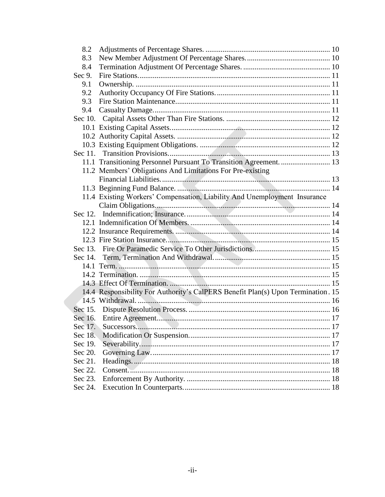| 8.2     |                                                                                                                                                                                                                                |  |
|---------|--------------------------------------------------------------------------------------------------------------------------------------------------------------------------------------------------------------------------------|--|
| 8.3     |                                                                                                                                                                                                                                |  |
| 8.4     |                                                                                                                                                                                                                                |  |
| Sec 9.  |                                                                                                                                                                                                                                |  |
| 9.1     |                                                                                                                                                                                                                                |  |
| 9.2     |                                                                                                                                                                                                                                |  |
| 9.3     |                                                                                                                                                                                                                                |  |
| 9.4     |                                                                                                                                                                                                                                |  |
| Sec 10. |                                                                                                                                                                                                                                |  |
|         |                                                                                                                                                                                                                                |  |
|         |                                                                                                                                                                                                                                |  |
|         |                                                                                                                                                                                                                                |  |
|         |                                                                                                                                                                                                                                |  |
|         |                                                                                                                                                                                                                                |  |
|         | 11.2 Members' Obligations And Limitations For Pre-existing                                                                                                                                                                     |  |
|         |                                                                                                                                                                                                                                |  |
|         |                                                                                                                                                                                                                                |  |
|         | 11.4 Existing Workers' Compensation, Liability And Unemployment Insurance                                                                                                                                                      |  |
|         |                                                                                                                                                                                                                                |  |
|         |                                                                                                                                                                                                                                |  |
|         |                                                                                                                                                                                                                                |  |
|         |                                                                                                                                                                                                                                |  |
|         |                                                                                                                                                                                                                                |  |
| Sec 13. |                                                                                                                                                                                                                                |  |
| Sec 14. |                                                                                                                                                                                                                                |  |
|         |                                                                                                                                                                                                                                |  |
|         |                                                                                                                                                                                                                                |  |
|         |                                                                                                                                                                                                                                |  |
|         | 14.4 Responsibility For Authority's CalPERS Benefit Plan(s) Upon Termination. 15                                                                                                                                               |  |
|         |                                                                                                                                                                                                                                |  |
|         |                                                                                                                                                                                                                                |  |
|         |                                                                                                                                                                                                                                |  |
|         |                                                                                                                                                                                                                                |  |
| Sec 18. |                                                                                                                                                                                                                                |  |
| Sec 19. |                                                                                                                                                                                                                                |  |
| Sec 20. |                                                                                                                                                                                                                                |  |
| Sec 21. |                                                                                                                                                                                                                                |  |
| Sec 22. | Consent 28 Consent 28 Links 2014 18 Consent 2014 18 Links 2014 18 Links 2014 18 Links 2014 18 Links 2014 18 Links 2014 18 Links 2014 18 Links 2014 18 Links 2014 18 Links 2014 18 Links 2014 18 Links 2014 18 Links 2014 18 Li |  |
| Sec 23. |                                                                                                                                                                                                                                |  |
| Sec 24. |                                                                                                                                                                                                                                |  |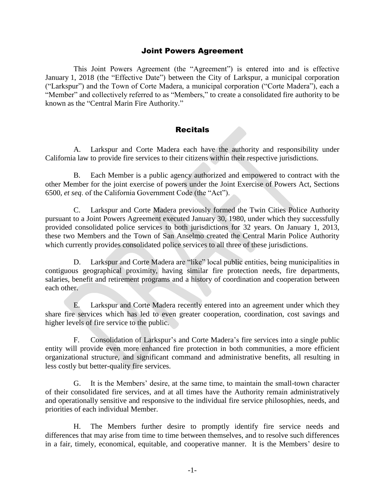# Joint Powers Agreement

This Joint Powers Agreement (the "Agreement") is entered into and is effective January 1, 2018 (the "Effective Date") between the City of Larkspur, a municipal corporation ("Larkspur") and the Town of Corte Madera, a municipal corporation ("Corte Madera"), each a "Member" and collectively referred to as "Members," to create a consolidated fire authority to be known as the "Central Marin Fire Authority."

# Recitals

<span id="page-4-0"></span>A. Larkspur and Corte Madera each have the authority and responsibility under California law to provide fire services to their citizens within their respective jurisdictions.

B. Each Member is a public agency authorized and empowered to contract with the other Member for the joint exercise of powers under the Joint Exercise of Powers Act, Sections 6500, *et seq*. of the California Government Code (the "Act").

C. Larkspur and Corte Madera previously formed the Twin Cities Police Authority pursuant to a Joint Powers Agreement executed January 30, 1980, under which they successfully provided consolidated police services to both jurisdictions for 32 years. On January 1, 2013, these two Members and the Town of San Anselmo created the Central Marin Police Authority which currently provides consolidated police services to all three of these jurisdictions.

D. Larkspur and Corte Madera are "like" local public entities, being municipalities in contiguous geographical proximity, having similar fire protection needs, fire departments, salaries, benefit and retirement programs and a history of coordination and cooperation between each other.

E. Larkspur and Corte Madera recently entered into an agreement under which they share fire services which has led to even greater cooperation, coordination, cost savings and higher levels of fire service to the public.

F. Consolidation of Larkspur's and Corte Madera's fire services into a single public entity will provide even more enhanced fire protection in both communities, a more efficient organizational structure, and significant command and administrative benefits, all resulting in less costly but better-quality fire services.

G. It is the Members' desire, at the same time, to maintain the small-town character of their consolidated fire services, and at all times have the Authority remain administratively and operationally sensitive and responsive to the individual fire service philosophies, needs, and priorities of each individual Member.

H. The Members further desire to promptly identify fire service needs and differences that may arise from time to time between themselves, and to resolve such differences in a fair, timely, economical, equitable, and cooperative manner. It is the Members' desire to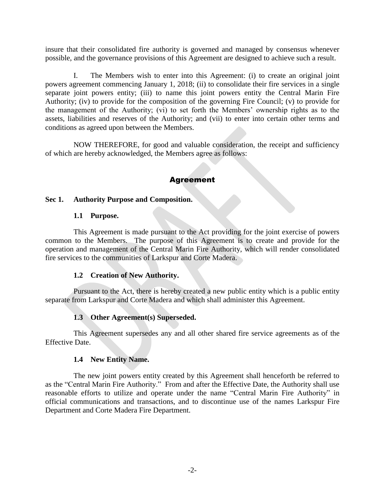insure that their consolidated fire authority is governed and managed by consensus whenever possible, and the governance provisions of this Agreement are designed to achieve such a result.

I. The Members wish to enter into this Agreement: (i) to create an original joint powers agreement commencing January 1, 2018; (ii) to consolidate their fire services in a single separate joint powers entity; (iii) to name this joint powers entity the Central Marin Fire Authority; (iv) to provide for the composition of the governing Fire Council; (v) to provide for the management of the Authority; (vi) to set forth the Members' ownership rights as to the assets, liabilities and reserves of the Authority; and (vii) to enter into certain other terms and conditions as agreed upon between the Members.

<span id="page-5-0"></span>NOW THEREFORE, for good and valuable consideration, the receipt and sufficiency of which are hereby acknowledged, the Members agree as follows:

# Agreement

#### <span id="page-5-2"></span><span id="page-5-1"></span>**Sec 1. Authority Purpose and Composition.**

#### **1.1 Purpose.**

This Agreement is made pursuant to the Act providing for the joint exercise of powers common to the Members. The purpose of this Agreement is to create and provide for the operation and management of the Central Marin Fire Authority, which will render consolidated fire services to the communities of Larkspur and Corte Madera.

#### **1.2 Creation of New Authority.**

<span id="page-5-3"></span>Pursuant to the Act, there is hereby created a new public entity which is a public entity separate from Larkspur and Corte Madera and which shall administer this Agreement.

# **1.3 Other Agreement(s) Superseded.**

<span id="page-5-4"></span>This Agreement supersedes any and all other shared fire service agreements as of the Effective Date.

#### **1.4 New Entity Name.**

<span id="page-5-5"></span>The new joint powers entity created by this Agreement shall henceforth be referred to as the "Central Marin Fire Authority." From and after the Effective Date, the Authority shall use reasonable efforts to utilize and operate under the name "Central Marin Fire Authority" in official communications and transactions, and to discontinue use of the names Larkspur Fire Department and Corte Madera Fire Department.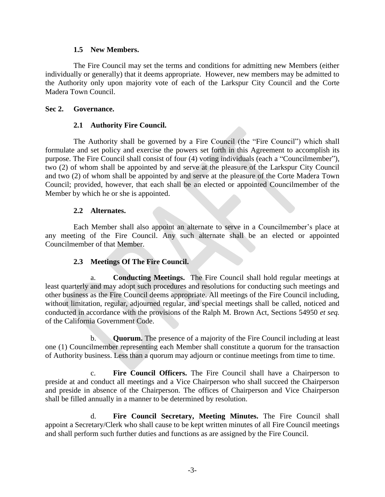#### **1.5 New Members.**

<span id="page-6-0"></span>The Fire Council may set the terms and conditions for admitting new Members (either individually or generally) that it deems appropriate. However, new members may be admitted to the Authority only upon majority vote of each of the Larkspur City Council and the Corte Madera Town Council.

#### <span id="page-6-2"></span><span id="page-6-1"></span>**Sec 2. Governance.**

#### **2.1 Authority Fire Council.**

The Authority shall be governed by a Fire Council (the "Fire Council") which shall formulate and set policy and exercise the powers set forth in this Agreement to accomplish its purpose. The Fire Council shall consist of four (4) voting individuals (each a "Councilmember"), two (2) of whom shall be appointed by and serve at the pleasure of the Larkspur City Council and two (2) of whom shall be appointed by and serve at the pleasure of the Corte Madera Town Council; provided, however, that each shall be an elected or appointed Councilmember of the Member by which he or she is appointed.

#### **2.2 Alternates.**

<span id="page-6-3"></span>Each Member shall also appoint an alternate to serve in a Councilmember's place at any meeting of the Fire Council. Any such alternate shall be an elected or appointed Councilmember of that Member.

#### **2.3 Meetings Of The Fire Council.**

<span id="page-6-4"></span>a. **Conducting Meetings.** The Fire Council shall hold regular meetings at least quarterly and may adopt such procedures and resolutions for conducting such meetings and other business as the Fire Council deems appropriate. All meetings of the Fire Council including, without limitation, regular, adjourned regular, and special meetings shall be called, noticed and conducted in accordance with the provisions of the Ralph M. Brown Act, Sections 54950 *et seq.* of the California Government Code.

b. **Quorum.** The presence of a majority of the Fire Council including at least one (1) Councilmember representing each Member shall constitute a quorum for the transaction of Authority business. Less than a quorum may adjourn or continue meetings from time to time.

c. **Fire Council Officers.** The Fire Council shall have a Chairperson to preside at and conduct all meetings and a Vice Chairperson who shall succeed the Chairperson and preside in absence of the Chairperson. The offices of Chairperson and Vice Chairperson shall be filled annually in a manner to be determined by resolution.

d. **Fire Council Secretary, Meeting Minutes.** The Fire Council shall appoint a Secretary/Clerk who shall cause to be kept written minutes of all Fire Council meetings and shall perform such further duties and functions as are assigned by the Fire Council.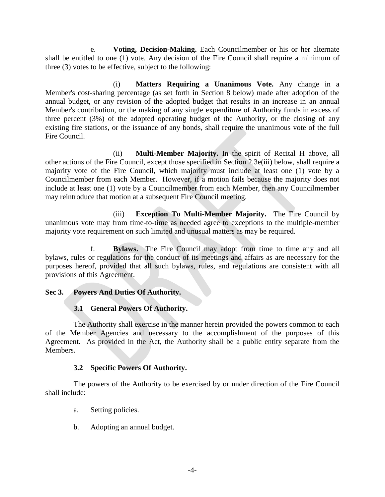e. **Voting, Decision-Making.** Each Councilmember or his or her alternate shall be entitled to one (1) vote. Any decision of the Fire Council shall require a minimum of three (3) votes to be effective, subject to the following:

(i) **Matters Requiring a Unanimous Vote.** Any change in a Member's cost-sharing percentage (as set forth in Section 8 below) made after adoption of the annual budget, or any revision of the adopted budget that results in an increase in an annual Member's contribution, or the making of any single expenditure of Authority funds in excess of three percent (3%) of the adopted operating budget of the Authority, or the closing of any existing fire stations, or the issuance of any bonds, shall require the unanimous vote of the full Fire Council.

(ii) **Multi-Member Majority.** In the spirit of Recital H above, all other actions of the Fire Council, except those specified in Section 2.3e(iii) below, shall require a majority vote of the Fire Council, which majority must include at least one (1) vote by a Councilmember from each Member. However, if a motion fails because the majority does not include at least one (1) vote by a Councilmember from each Member, then any Councilmember may reintroduce that motion at a subsequent Fire Council meeting.

(iii) **Exception To Multi-Member Majority.** The Fire Council by unanimous vote may from time-to-time as needed agree to exceptions to the multiple-member majority vote requirement on such limited and unusual matters as may be required.

**Bylaws.** The Fire Council may adopt from time to time any and all bylaws, rules or regulations for the conduct of its meetings and affairs as are necessary for the purposes hereof, provided that all such bylaws, rules, and regulations are consistent with all provisions of this Agreement.

# <span id="page-7-0"></span>**Sec 3. Powers And Duties Of Authority.**

# **3.1 General Powers Of Authority.**

<span id="page-7-1"></span>The Authority shall exercise in the manner herein provided the powers common to each of the Member Agencies and necessary to the accomplishment of the purposes of this Agreement. As provided in the Act, the Authority shall be a public entity separate from the Members.

# **3.2 Specific Powers Of Authority.**

<span id="page-7-2"></span>The powers of the Authority to be exercised by or under direction of the Fire Council shall include:

- a. Setting policies.
- b. Adopting an annual budget.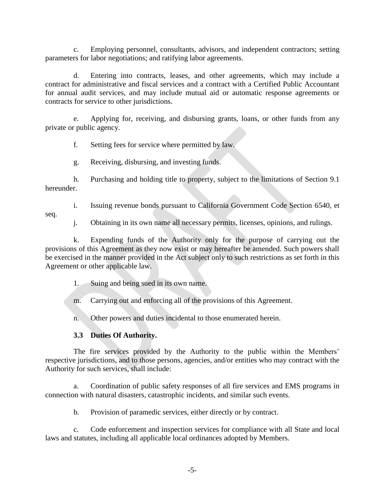c. Employing personnel, consultants, advisors, and independent contractors; setting parameters for labor negotiations; and ratifying labor agreements.

d. Entering into contracts, leases, and other agreements, which may include a contract for administrative and fiscal services and a contract with a Certified Public Accountant for annual audit services, and may include mutual aid or automatic response agreements or contracts for service to other jurisdictions.

e. Applying for, receiving, and disbursing grants, loans, or other funds from any private or public agency.

f. Setting fees for service where permitted by law.

g. Receiving, disbursing, and investing funds.

h. Purchasing and holding title to property, subject to the limitations of Section 9.1 hereunder.

i. Issuing revenue bonds pursuant to California Government Code Section 6540, et

seq.

j. Obtaining in its own name all necessary permits, licenses, opinions, and rulings.

k. Expending funds of the Authority only for the purpose of carrying out the provisions of this Agreement as they now exist or may hereafter be amended. Such powers shall be exercised in the manner provided in the Act subject only to such restrictions as set forth in this Agreement or other applicable law.

1. Suing and being sued in its own name.

m. Carrying out and enforcing all of the provisions of this Agreement.

n. Other powers and duties incidental to those enumerated herein.

# **3.3 Duties Of Authority.**

<span id="page-8-0"></span>The fire services provided by the Authority to the public within the Members' respective jurisdictions, and to those persons, agencies, and/or entities who may contract with the Authority for such services, shall include:

a. Coordination of public safety responses of all fire services and EMS programs in connection with natural disasters, catastrophic incidents, and similar such events.

b. Provision of paramedic services, either directly or by contract.

c. Code enforcement and inspection services for compliance with all State and local laws and statutes, including all applicable local ordinances adopted by Members.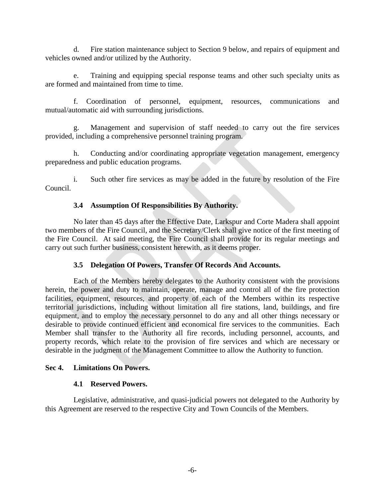d. Fire station maintenance subject to Section 9 below, and repairs of equipment and vehicles owned and/or utilized by the Authority.

e. Training and equipping special response teams and other such specialty units as are formed and maintained from time to time.

f. Coordination of personnel, equipment, resources, communications and mutual/automatic aid with surrounding jurisdictions.

g. Management and supervision of staff needed to carry out the fire services provided, including a comprehensive personnel training program.

h. Conducting and/or coordinating appropriate vegetation management, emergency preparedness and public education programs.

i. Such other fire services as may be added in the future by resolution of the Fire Council.

# **3.4 Assumption Of Responsibilities By Authority.**

<span id="page-9-0"></span>No later than 45 days after the Effective Date, Larkspur and Corte Madera shall appoint two members of the Fire Council, and the Secretary/Clerk shall give notice of the first meeting of the Fire Council. At said meeting, the Fire Council shall provide for its regular meetings and carry out such further business, consistent herewith, as it deems proper.

# **3.5 Delegation Of Powers, Transfer Of Records And Accounts.**

<span id="page-9-1"></span>Each of the Members hereby delegates to the Authority consistent with the provisions herein, the power and duty to maintain, operate, manage and control all of the fire protection facilities, equipment, resources, and property of each of the Members within its respective territorial jurisdictions, including without limitation all fire stations, land, buildings, and fire equipment, and to employ the necessary personnel to do any and all other things necessary or desirable to provide continued efficient and economical fire services to the communities. Each Member shall transfer to the Authority all fire records, including personnel, accounts, and property records, which relate to the provision of fire services and which are necessary or desirable in the judgment of the Management Committee to allow the Authority to function.

#### <span id="page-9-3"></span><span id="page-9-2"></span>**Sec 4. Limitations On Powers.**

#### **4.1 Reserved Powers.**

Legislative, administrative, and quasi-judicial powers not delegated to the Authority by this Agreement are reserved to the respective City and Town Councils of the Members.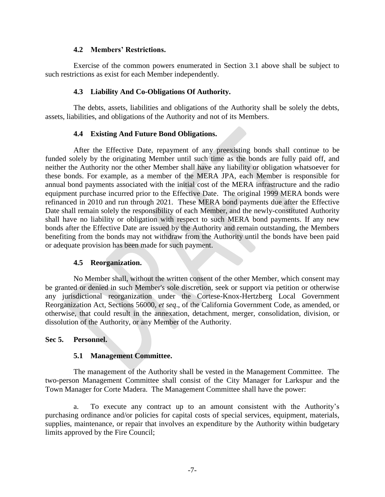#### **4.2 Members' Restrictions.**

<span id="page-10-0"></span>Exercise of the common powers enumerated in Section 3.1 above shall be subject to such restrictions as exist for each Member independently.

#### **4.3 Liability And Co-Obligations Of Authority.**

<span id="page-10-1"></span>The debts, assets, liabilities and obligations of the Authority shall be solely the debts, assets, liabilities, and obligations of the Authority and not of its Members.

# **4.4 Existing And Future Bond Obligations.**

<span id="page-10-2"></span>After the Effective Date, repayment of any preexisting bonds shall continue to be funded solely by the originating Member until such time as the bonds are fully paid off, and neither the Authority nor the other Member shall have any liability or obligation whatsoever for these bonds. For example, as a member of the MERA JPA, each Member is responsible for annual bond payments associated with the initial cost of the MERA infrastructure and the radio equipment purchase incurred prior to the Effective Date. The original 1999 MERA bonds were refinanced in 2010 and run through 2021. These MERA bond payments due after the Effective Date shall remain solely the responsibility of each Member, and the newly-constituted Authority shall have no liability or obligation with respect to such MERA bond payments. If any new bonds after the Effective Date are issued by the Authority and remain outstanding, the Members benefiting from the bonds may not withdraw from the Authority until the bonds have been paid or adequate provision has been made for such payment.

# **4.5 Reorganization.**

<span id="page-10-3"></span>No Member shall, without the written consent of the other Member, which consent may be granted or denied in such Member's sole discretion, seek or support via petition or otherwise any jurisdictional reorganization under the Cortese-Knox-Hertzberg Local Government Reorganization Act, Sections 56000, *et seq*., of the California Government Code, as amended, or otherwise, that could result in the annexation, detachment, merger, consolidation, division, or dissolution of the Authority, or any Member of the Authority.

#### <span id="page-10-5"></span><span id="page-10-4"></span>**Sec 5. Personnel.**

#### **5.1 Management Committee.**

The management of the Authority shall be vested in the Management Committee. The two-person Management Committee shall consist of the City Manager for Larkspur and the Town Manager for Corte Madera. The Management Committee shall have the power:

a. To execute any contract up to an amount consistent with the Authority's purchasing ordinance and/or policies for capital costs of special services, equipment, materials, supplies, maintenance, or repair that involves an expenditure by the Authority within budgetary limits approved by the Fire Council;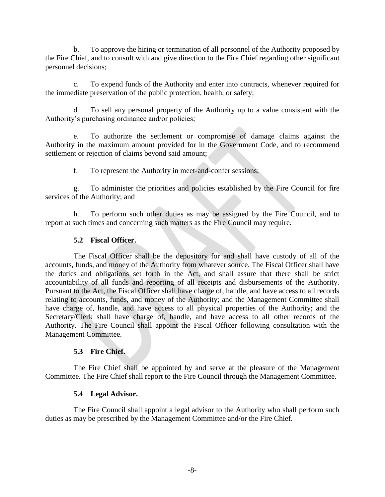b. To approve the hiring or termination of all personnel of the Authority proposed by the Fire Chief, and to consult with and give direction to the Fire Chief regarding other significant personnel decisions;

c. To expend funds of the Authority and enter into contracts, whenever required for the immediate preservation of the public protection, health, or safety;

d. To sell any personal property of the Authority up to a value consistent with the Authority's purchasing ordinance and/or policies;

e. To authorize the settlement or compromise of damage claims against the Authority in the maximum amount provided for in the Government Code, and to recommend settlement or rejection of claims beyond said amount;

f. To represent the Authority in meet-and-confer sessions;

g. To administer the priorities and policies established by the Fire Council for fire services of the Authority; and

h. To perform such other duties as may be assigned by the Fire Council, and to report at such times and concerning such matters as the Fire Council may require.

# **5.2 Fiscal Officer.**

<span id="page-11-0"></span>The Fiscal Officer shall be the depository for and shall have custody of all of the accounts, funds, and money of the Authority from whatever source. The Fiscal Officer shall have the duties and obligations set forth in the Act, and shall assure that there shall be strict accountability of all funds and reporting of all receipts and disbursements of the Authority. Pursuant to the Act, the Fiscal Officer shall have charge of, handle, and have access to all records relating to accounts, funds, and money of the Authority; and the Management Committee shall have charge of, handle, and have access to all physical properties of the Authority; and the Secretary/Clerk shall have charge of, handle, and have access to all other records of the Authority. The Fire Council shall appoint the Fiscal Officer following consultation with the Management Committee.

# **5.3 Fire Chief.**

<span id="page-11-1"></span>The Fire Chief shall be appointed by and serve at the pleasure of the Management Committee. The Fire Chief shall report to the Fire Council through the Management Committee.

# **5.4 Legal Advisor.**

<span id="page-11-2"></span>The Fire Council shall appoint a legal advisor to the Authority who shall perform such duties as may be prescribed by the Management Committee and/or the Fire Chief.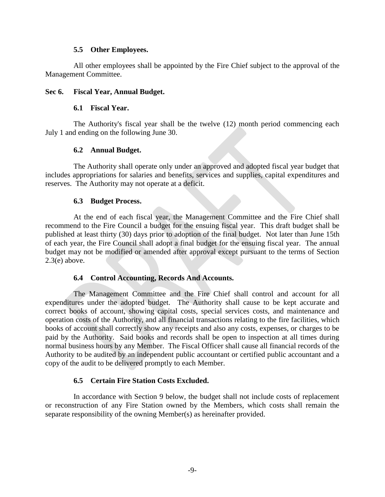#### **5.5 Other Employees.**

<span id="page-12-0"></span>All other employees shall be appointed by the Fire Chief subject to the approval of the Management Committee.

#### <span id="page-12-2"></span><span id="page-12-1"></span>**Sec 6. Fiscal Year, Annual Budget.**

#### **6.1 Fiscal Year.**

The Authority's fiscal year shall be the twelve (12) month period commencing each July 1 and ending on the following June 30.

#### **6.2 Annual Budget.**

<span id="page-12-3"></span>The Authority shall operate only under an approved and adopted fiscal year budget that includes appropriations for salaries and benefits, services and supplies, capital expenditures and reserves. The Authority may not operate at a deficit.

#### **6.3 Budget Process.**

<span id="page-12-4"></span>At the end of each fiscal year, the Management Committee and the Fire Chief shall recommend to the Fire Council a budget for the ensuing fiscal year. This draft budget shall be published at least thirty (30) days prior to adoption of the final budget. Not later than June 15th of each year, the Fire Council shall adopt a final budget for the ensuing fiscal year. The annual budget may not be modified or amended after approval except pursuant to the terms of Section 2.3(e) above.

#### **6.4 Control Accounting, Records And Accounts.**

<span id="page-12-5"></span>The Management Committee and the Fire Chief shall control and account for all expenditures under the adopted budget. The Authority shall cause to be kept accurate and correct books of account, showing capital costs, special services costs, and maintenance and operation costs of the Authority, and all financial transactions relating to the fire facilities, which books of account shall correctly show any receipts and also any costs, expenses, or charges to be paid by the Authority. Said books and records shall be open to inspection at all times during normal business hours by any Member. The Fiscal Officer shall cause all financial records of the Authority to be audited by an independent public accountant or certified public accountant and a copy of the audit to be delivered promptly to each Member.

#### **6.5 Certain Fire Station Costs Excluded.**

<span id="page-12-6"></span>In accordance with Section 9 below, the budget shall not include costs of replacement or reconstruction of any Fire Station owned by the Members, which costs shall remain the separate responsibility of the owning Member(s) as hereinafter provided.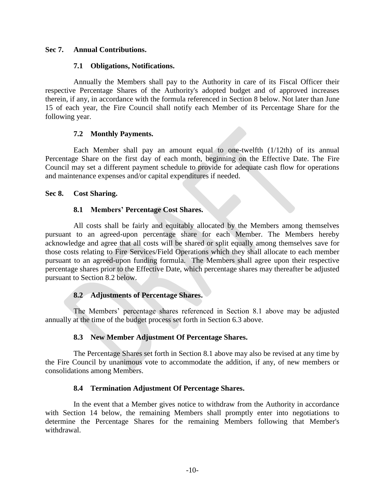#### <span id="page-13-1"></span><span id="page-13-0"></span>**Sec 7. Annual Contributions.**

#### **7.1 Obligations, Notifications.**

Annually the Members shall pay to the Authority in care of its Fiscal Officer their respective Percentage Shares of the Authority's adopted budget and of approved increases therein, if any, in accordance with the formula referenced in Section 8 below. Not later than June 15 of each year, the Fire Council shall notify each Member of its Percentage Share for the following year.

#### **7.2 Monthly Payments.**

<span id="page-13-2"></span>Each Member shall pay an amount equal to one-twelfth (1/12th) of its annual Percentage Share on the first day of each month, beginning on the Effective Date. The Fire Council may set a different payment schedule to provide for adequate cash flow for operations and maintenance expenses and/or capital expenditures if needed.

#### <span id="page-13-4"></span><span id="page-13-3"></span>**Sec 8. Cost Sharing.**

#### **8.1 Members' Percentage Cost Shares.**

All costs shall be fairly and equitably allocated by the Members among themselves pursuant to an agreed-upon percentage share for each Member. The Members hereby acknowledge and agree that all costs will be shared or split equally among themselves save for those costs relating to Fire Services/Field Operations which they shall allocate to each member pursuant to an agreed-upon funding formula. The Members shall agree upon their respective percentage shares prior to the Effective Date, which percentage shares may thereafter be adjusted pursuant to Section 8.2 below.

#### **8.2 Adjustments of Percentage Shares.**

<span id="page-13-5"></span>The Members' percentage shares referenced in Section 8.1 above may be adjusted annually at the time of the budget process set forth in Section 6.3 above.

#### **8.3 New Member Adjustment Of Percentage Shares.**

<span id="page-13-6"></span>The Percentage Shares set forth in Section 8.1 above may also be revised at any time by the Fire Council by unanimous vote to accommodate the addition, if any, of new members or consolidations among Members.

#### **8.4 Termination Adjustment Of Percentage Shares.**

<span id="page-13-7"></span>In the event that a Member gives notice to withdraw from the Authority in accordance with Section 14 below, the remaining Members shall promptly enter into negotiations to determine the Percentage Shares for the remaining Members following that Member's withdrawal.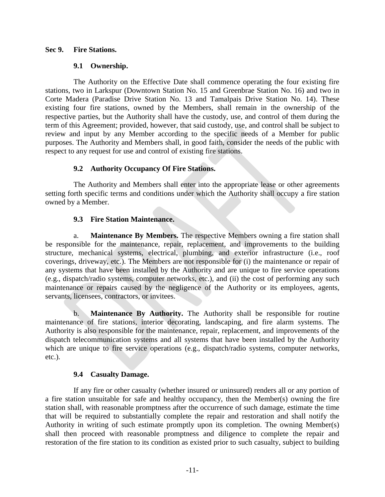#### <span id="page-14-1"></span><span id="page-14-0"></span>**Sec 9. Fire Stations.**

#### **9.1 Ownership.**

The Authority on the Effective Date shall commence operating the four existing fire stations, two in Larkspur (Downtown Station No. 15 and Greenbrae Station No. 16) and two in Corte Madera (Paradise Drive Station No. 13 and Tamalpais Drive Station No. 14). These existing four fire stations, owned by the Members, shall remain in the ownership of the respective parties, but the Authority shall have the custody, use, and control of them during the term of this Agreement; provided, however, that said custody, use, and control shall be subject to review and input by any Member according to the specific needs of a Member for public purposes. The Authority and Members shall, in good faith, consider the needs of the public with respect to any request for use and control of existing fire stations.

# **9.2 Authority Occupancy Of Fire Stations.**

<span id="page-14-2"></span>The Authority and Members shall enter into the appropriate lease or other agreements setting forth specific terms and conditions under which the Authority shall occupy a fire station owned by a Member.

# **9.3 Fire Station Maintenance.**

<span id="page-14-3"></span>a. **Maintenance By Members.** The respective Members owning a fire station shall be responsible for the maintenance, repair, replacement, and improvements to the building structure, mechanical systems, electrical, plumbing, and exterior infrastructure (i.e., roof coverings, driveway, etc.). The Members are not responsible for (i) the maintenance or repair of any systems that have been installed by the Authority and are unique to fire service operations (e.g., dispatch/radio systems, computer networks, etc.), and (ii) the cost of performing any such maintenance or repairs caused by the negligence of the Authority or its employees, agents, servants, licensees, contractors, or invitees.

b. **Maintenance By Authority.** The Authority shall be responsible for routine maintenance of fire stations, interior decorating, landscaping, and fire alarm systems. The Authority is also responsible for the maintenance, repair, replacement, and improvements of the dispatch telecommunication systems and all systems that have been installed by the Authority which are unique to fire service operations (e.g., dispatch/radio systems, computer networks, etc.).

#### **9.4 Casualty Damage.**

<span id="page-14-4"></span>If any fire or other casualty (whether insured or uninsured) renders all or any portion of a fire station unsuitable for safe and healthy occupancy, then the Member(s) owning the fire station shall, with reasonable promptness after the occurrence of such damage, estimate the time that will be required to substantially complete the repair and restoration and shall notify the Authority in writing of such estimate promptly upon its completion. The owning Member(s) shall then proceed with reasonable promptness and diligence to complete the repair and restoration of the fire station to its condition as existed prior to such casualty, subject to building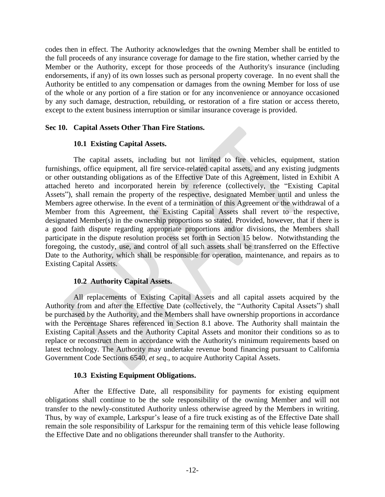codes then in effect. The Authority acknowledges that the owning Member shall be entitled to the full proceeds of any insurance coverage for damage to the fire station, whether carried by the Member or the Authority, except for those proceeds of the Authority's insurance (including endorsements, if any) of its own losses such as personal property coverage. In no event shall the Authority be entitled to any compensation or damages from the owning Member for loss of use of the whole or any portion of a fire station or for any inconvenience or annoyance occasioned by any such damage, destruction, rebuilding, or restoration of a fire station or access thereto, except to the extent business interruption or similar insurance coverage is provided.

## <span id="page-15-1"></span><span id="page-15-0"></span>**Sec 10. Capital Assets Other Than Fire Stations.**

#### **10.1 Existing Capital Assets.**

The capital assets, including but not limited to fire vehicles, equipment, station furnishings, office equipment, all fire service-related capital assets, and any existing judgments or other outstanding obligations as of the Effective Date of this Agreement, listed in Exhibit A attached hereto and incorporated herein by reference (collectively, the "Existing Capital Assets"), shall remain the property of the respective, designated Member until and unless the Members agree otherwise. In the event of a termination of this Agreement or the withdrawal of a Member from this Agreement, the Existing Capital Assets shall revert to the respective, designated Member(s) in the ownership proportions so stated. Provided, however, that if there is a good faith dispute regarding appropriate proportions and/or divisions, the Members shall participate in the dispute resolution process set forth in Section 15 below. Notwithstanding the foregoing, the custody, use, and control of all such assets shall be transferred on the Effective Date to the Authority, which shall be responsible for operation, maintenance, and repairs as to Existing Capital Assets.

#### **10.2 Authority Capital Assets.**

<span id="page-15-2"></span>All replacements of Existing Capital Assets and all capital assets acquired by the Authority from and after the Effective Date (collectively, the "Authority Capital Assets") shall be purchased by the Authority, and the Members shall have ownership proportions in accordance with the Percentage Shares referenced in Section 8.1 above. The Authority shall maintain the Existing Capital Assets and the Authority Capital Assets and monitor their conditions so as to replace or reconstruct them in accordance with the Authority's minimum requirements based on latest technology. The Authority may undertake revenue bond financing pursuant to California Government Code Sections 6540, *et seq.*, to acquire Authority Capital Assets.

#### **10.3 Existing Equipment Obligations.**

<span id="page-15-3"></span>After the Effective Date, all responsibility for payments for existing equipment obligations shall continue to be the sole responsibility of the owning Member and will not transfer to the newly-constituted Authority unless otherwise agreed by the Members in writing. Thus, by way of example, Larkspur's lease of a fire truck existing as of the Effective Date shall remain the sole responsibility of Larkspur for the remaining term of this vehicle lease following the Effective Date and no obligations thereunder shall transfer to the Authority.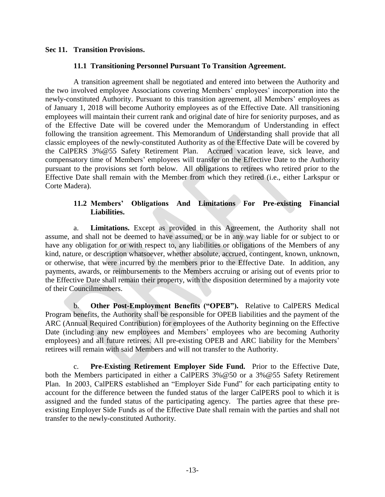#### <span id="page-16-1"></span><span id="page-16-0"></span>**Sec 11. Transition Provisions.**

#### **11.1 Transitioning Personnel Pursuant To Transition Agreement.**

A transition agreement shall be negotiated and entered into between the Authority and the two involved employee Associations covering Members' employees' incorporation into the newly-constituted Authority. Pursuant to this transition agreement, all Members' employees as of January 1, 2018 will become Authority employees as of the Effective Date. All transitioning employees will maintain their current rank and original date of hire for seniority purposes, and as of the Effective Date will be covered under the Memorandum of Understanding in effect following the transition agreement. This Memorandum of Understanding shall provide that all classic employees of the newly-constituted Authority as of the Effective Date will be covered by the CalPERS 3%@55 Safety Retirement Plan. Accrued vacation leave, sick leave, and compensatory time of Members' employees will transfer on the Effective Date to the Authority pursuant to the provisions set forth below. All obligations to retirees who retired prior to the Effective Date shall remain with the Member from which they retired (i.e., either Larkspur or Corte Madera).

# **11.2 Members' Obligations And Limitations For Pre-existing Financial Liabilities.**

<span id="page-16-2"></span>a. **Limitations.** Except as provided in this Agreement, the Authority shall not assume, and shall not be deemed to have assumed, or be in any way liable for or subject to or have any obligation for or with respect to, any liabilities or obligations of the Members of any kind, nature, or description whatsoever, whether absolute, accrued, contingent, known, unknown, or otherwise, that were incurred by the members prior to the Effective Date. In addition, any payments, awards, or reimbursements to the Members accruing or arising out of events prior to the Effective Date shall remain their property, with the disposition determined by a majority vote of their Councilmembers.

b. **Other Post-Employment Benefits ("OPEB").** Relative to CalPERS Medical Program benefits, the Authority shall be responsible for OPEB liabilities and the payment of the ARC (Annual Required Contribution) for employees of the Authority beginning on the Effective Date (including any new employees and Members' employees who are becoming Authority employees) and all future retirees. All pre-existing OPEB and ARC liability for the Members' retirees will remain with said Members and will not transfer to the Authority.

c. **Pre-Existing Retirement Employer Side Fund.** Prior to the Effective Date, both the Members participated in either a CalPERS 3%@50 or a 3%@55 Safety Retirement Plan. In 2003, CalPERS established an "Employer Side Fund" for each participating entity to account for the difference between the funded status of the larger CalPERS pool to which it is assigned and the funded status of the participating agency. The parties agree that these preexisting Employer Side Funds as of the Effective Date shall remain with the parties and shall not transfer to the newly-constituted Authority.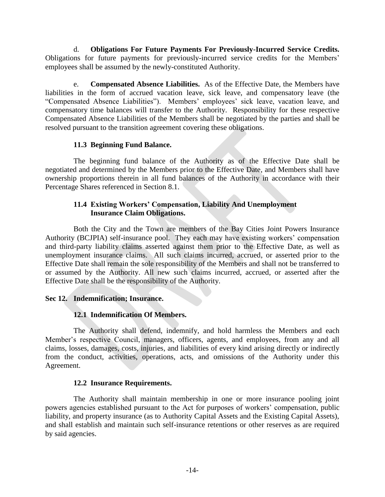d. **Obligations For Future Payments For Previously-Incurred Service Credits.** Obligations for future payments for previously-incurred service credits for the Members' employees shall be assumed by the newly-constituted Authority.

e. **Compensated Absence Liabilities.** As of the Effective Date, the Members have liabilities in the form of accrued vacation leave, sick leave, and compensatory leave (the "Compensated Absence Liabilities"). Members' employees' sick leave, vacation leave, and compensatory time balances will transfer to the Authority. Responsibility for these respective Compensated Absence Liabilities of the Members shall be negotiated by the parties and shall be resolved pursuant to the transition agreement covering these obligations.

# **11.3 Beginning Fund Balance.**

<span id="page-17-0"></span>The beginning fund balance of the Authority as of the Effective Date shall be negotiated and determined by the Members prior to the Effective Date, and Members shall have ownership proportions therein in all fund balances of the Authority in accordance with their Percentage Shares referenced in Section 8.1.

#### **11.4 Existing Workers' Compensation, Liability And Unemployment Insurance Claim Obligations.**

<span id="page-17-1"></span>Both the City and the Town are members of the Bay Cities Joint Powers Insurance Authority (BCJPIA) self-insurance pool. They each may have existing workers' compensation and third-party liability claims asserted against them prior to the Effective Date, as well as unemployment insurance claims. All such claims incurred, accrued, or asserted prior to the Effective Date shall remain the sole responsibility of the Members and shall not be transferred to or assumed by the Authority. All new such claims incurred, accrued, or asserted after the Effective Date shall be the responsibility of the Authority.

# <span id="page-17-3"></span><span id="page-17-2"></span>**Sec 12. Indemnification; Insurance.**

# **12.1 Indemnification Of Members.**

The Authority shall defend, indemnify, and hold harmless the Members and each Member's respective Council, managers, officers, agents, and employees, from any and all claims, losses, damages, costs, injuries, and liabilities of every kind arising directly or indirectly from the conduct, activities, operations, acts, and omissions of the Authority under this Agreement.

#### **12.2 Insurance Requirements.**

<span id="page-17-4"></span>The Authority shall maintain membership in one or more insurance pooling joint powers agencies established pursuant to the Act for purposes of workers' compensation, public liability, and property insurance (as to Authority Capital Assets and the Existing Capital Assets), and shall establish and maintain such self-insurance retentions or other reserves as are required by said agencies.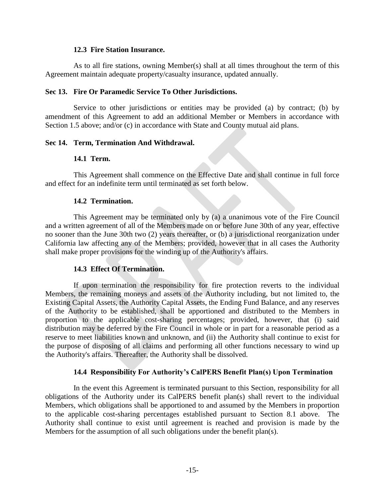#### **12.3 Fire Station Insurance.**

<span id="page-18-0"></span>As to all fire stations, owning Member(s) shall at all times throughout the term of this Agreement maintain adequate property/casualty insurance, updated annually.

#### <span id="page-18-1"></span>**Sec 13. Fire Or Paramedic Service To Other Jurisdictions.**

Service to other jurisdictions or entities may be provided (a) by contract; (b) by amendment of this Agreement to add an additional Member or Members in accordance with Section 1.5 above; and/or (c) in accordance with State and County mutual aid plans.

#### <span id="page-18-3"></span><span id="page-18-2"></span>**Sec 14. Term, Termination And Withdrawal.**

#### **14.1 Term.**

This Agreement shall commence on the Effective Date and shall continue in full force and effect for an indefinite term until terminated as set forth below.

#### **14.2 Termination.**

<span id="page-18-4"></span>This Agreement may be terminated only by (a) a unanimous vote of the Fire Council and a written agreement of all of the Members made on or before June 30th of any year, effective no sooner than the June 30th two (2) years thereafter, or (b) a jurisdictional reorganization under California law affecting any of the Members; provided, however that in all cases the Authority shall make proper provisions for the winding up of the Authority's affairs.

#### **14.3 Effect Of Termination.**

<span id="page-18-5"></span>If upon termination the responsibility for fire protection reverts to the individual Members, the remaining moneys and assets of the Authority including, but not limited to, the Existing Capital Assets, the Authority Capital Assets, the Ending Fund Balance, and any reserves of the Authority to be established, shall be apportioned and distributed to the Members in proportion to the applicable cost-sharing percentages; provided, however, that (i) said distribution may be deferred by the Fire Council in whole or in part for a reasonable period as a reserve to meet liabilities known and unknown, and (ii) the Authority shall continue to exist for the purpose of disposing of all claims and performing all other functions necessary to wind up the Authority's affairs. Thereafter, the Authority shall be dissolved.

#### **14.4 Responsibility For Authority's CalPERS Benefit Plan(s) Upon Termination**

<span id="page-18-6"></span>In the event this Agreement is terminated pursuant to this Section, responsibility for all obligations of the Authority under its CalPERS benefit plan(s) shall revert to the individual Members, which obligations shall be apportioned to and assumed by the Members in proportion to the applicable cost-sharing percentages established pursuant to Section 8.1 above. The Authority shall continue to exist until agreement is reached and provision is made by the Members for the assumption of all such obligations under the benefit plan(s).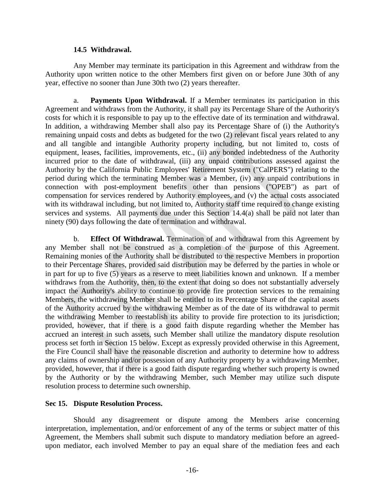#### **14.5 Withdrawal.**

<span id="page-19-0"></span>Any Member may terminate its participation in this Agreement and withdraw from the Authority upon written notice to the other Members first given on or before June 30th of any year, effective no sooner than June 30th two (2) years thereafter.

a. **Payments Upon Withdrawal.** If a Member terminates its participation in this Agreement and withdraws from the Authority, it shall pay its Percentage Share of the Authority's costs for which it is responsible to pay up to the effective date of its termination and withdrawal. In addition, a withdrawing Member shall also pay its Percentage Share of (i) the Authority's remaining unpaid costs and debts as budgeted for the two (2) relevant fiscal years related to any and all tangible and intangible Authority property including, but not limited to, costs of equipment, leases, facilities, improvements, etc., (ii) any bonded indebtedness of the Authority incurred prior to the date of withdrawal, (iii) any unpaid contributions assessed against the Authority by the California Public Employees' Retirement System ("CalPERS") relating to the period during which the terminating Member was a Member, (iv) any unpaid contributions in connection with post-employment benefits other than pensions ("OPEB") as part of compensation for services rendered by Authority employees, and (v) the actual costs associated with its withdrawal including, but not limited to, Authority staff time required to change existing services and systems. All payments due under this Section 14.4(a) shall be paid not later than ninety (90) days following the date of termination and withdrawal.

b. **Effect Of Withdrawal.** Termination of and withdrawal from this Agreement by any Member shall not be construed as a completion of the purpose of this Agreement. Remaining monies of the Authority shall be distributed to the respective Members in proportion to their Percentage Shares, provided said distribution may be deferred by the parties in whole or in part for up to five (5) years as a reserve to meet liabilities known and unknown. If a member withdraws from the Authority, then, to the extent that doing so does not substantially adversely impact the Authority's ability to continue to provide fire protection services to the remaining Members, the withdrawing Member shall be entitled to its Percentage Share of the capital assets of the Authority accrued by the withdrawing Member as of the date of its withdrawal to permit the withdrawing Member to reestablish its ability to provide fire protection to its jurisdiction; provided, however, that if there is a good faith dispute regarding whether the Member has accrued an interest in such assets, such Member shall utilize the mandatory dispute resolution process set forth in Section 15 below. Except as expressly provided otherwise in this Agreement, the Fire Council shall have the reasonable discretion and authority to determine how to address any claims of ownership and/or possession of any Authority property by a withdrawing Member, provided, however, that if there is a good faith dispute regarding whether such property is owned by the Authority or by the withdrawing Member, such Member may utilize such dispute resolution process to determine such ownership.

#### <span id="page-19-1"></span>**Sec 15. Dispute Resolution Process.**

Should any disagreement or dispute among the Members arise concerning interpretation, implementation, and/or enforcement of any of the terms or subject matter of this Agreement, the Members shall submit such dispute to mandatory mediation before an agreedupon mediator, each involved Member to pay an equal share of the mediation fees and each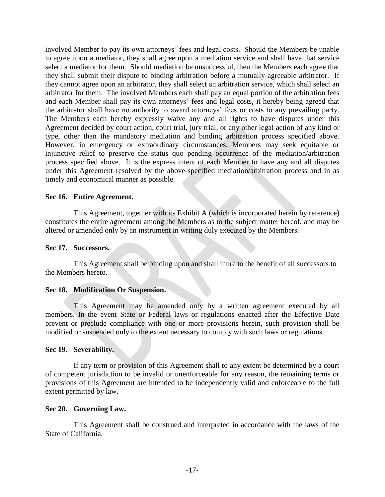involved Member to pay its own attorneys' fees and legal costs. Should the Members be unable to agree upon a mediator, they shall agree upon a mediation service and shall have that service select a mediator for them. Should mediation be unsuccessful, then the Members each agree that they shall submit their dispute to binding arbitration before a mutually-agreeable arbitrator. If they cannot agree upon an arbitrator, they shall select an arbitration service, which shall select an arbitrator for them. The involved Members each shall pay an equal portion of the arbitration fees and each Member shall pay its own attorneys' fees and legal costs, it hereby being agreed that the arbitrator shall have no authority to award attorneys' fees or costs to any prevailing party. The Members each hereby expressly waive any and all rights to have disputes under this Agreement decided by court action, court trial, jury trial, or any other legal action of any kind or type, other than the mandatory mediation and binding arbitration process specified above. However, in emergency or extraordinary circumstances, Members may seek equitable or injunctive relief to preserve the status quo pending occurrence of the mediation/arbitration process specified above. It is the express intent of each Member to have any and all disputes under this Agreement resolved by the above-specified mediation/arbitration process and in as timely and economical manner as possible.

#### <span id="page-20-0"></span>**Sec 16. Entire Agreement.**

This Agreement, together with its Exhibit A (which is incorporated herein by reference) constitutes the entire agreement among the Members as to the subject matter hereof, and may be altered or amended only by an instrument in writing duly executed by the Members.

#### <span id="page-20-1"></span>**Sec 17. Successors.**

This Agreement shall be binding upon and shall inure to the benefit of all successors to the Members hereto.

#### <span id="page-20-2"></span>**Sec 18. Modification Or Suspension.**

This Agreement may be amended only by a written agreement executed by all members. In the event State or Federal laws or regulations enacted after the Effective Date prevent or preclude compliance with one or more provisions herein, such provision shall be modified or suspended only to the extent necessary to comply with such laws or regulations.

#### <span id="page-20-3"></span>**Sec 19. Severability.**

If any term or provision of this Agreement shall to any extent be determined by a court of competent jurisdiction to be invalid or unenforceable for any reason, the remaining terms or provisions of this Agreement are intended to be independently valid and enforceable to the full extent permitted by law.

#### <span id="page-20-4"></span>**Sec 20. Governing Law.**

This Agreement shall be construed and interpreted in accordance with the laws of the State of California.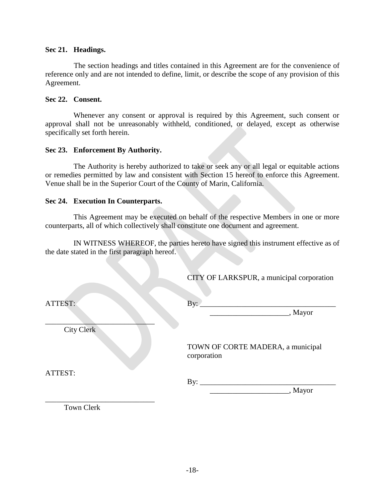#### <span id="page-21-0"></span>**Sec 21. Headings.**

The section headings and titles contained in this Agreement are for the convenience of reference only and are not intended to define, limit, or describe the scope of any provision of this Agreement.

#### <span id="page-21-1"></span>**Sec 22. Consent.**

Whenever any consent or approval is required by this Agreement, such consent or approval shall not be unreasonably withheld, conditioned, or delayed, except as otherwise specifically set forth herein.

#### <span id="page-21-2"></span>**Sec 23. Enforcement By Authority.**

The Authority is hereby authorized to take or seek any or all legal or equitable actions or remedies permitted by law and consistent with Section 15 hereof to enforce this Agreement. Venue shall be in the Superior Court of the County of Marin, California.

#### <span id="page-21-3"></span>**Sec 24. Execution In Counterparts.**

This Agreement may be executed on behalf of the respective Members in one or more counterparts, all of which collectively shall constitute one document and agreement.

IN WITNESS WHEREOF, the parties hereto have signed this instrument effective as of the date stated in the first paragraph hereof.

CITY OF LARKSPUR, a municipal corporation

| ATTEST:    | By:                                              |
|------------|--------------------------------------------------|
|            | , Mayor                                          |
| City Clerk |                                                  |
|            | TOWN OF CORTE MADERA, a municipal<br>corporation |
| ATTEST:    | $\mathbf{By:}$                                   |
|            | , Mayor                                          |
| Town Clerk |                                                  |